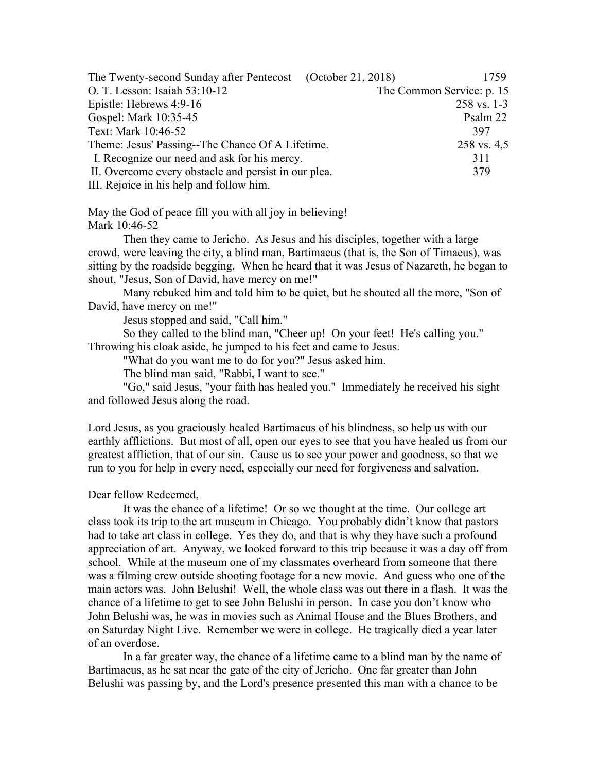| The Twenty-second Sunday after Pentecost (October 21, 2018) |  | 1759                      |
|-------------------------------------------------------------|--|---------------------------|
| O. T. Lesson: Isaiah 53:10-12                               |  | The Common Service: p. 15 |
| Epistle: Hebrews 4:9-16                                     |  | $258$ vs. 1-3             |
| Gospel: Mark 10:35-45                                       |  | Psalm 22                  |
| Text: Mark 10:46-52                                         |  | 397                       |
| Theme: Jesus' Passing--The Chance Of A Lifetime.            |  | 258 vs. 4,5               |
| I. Recognize our need and ask for his mercy.                |  | 311                       |
| II. Overcome every obstacle and persist in our plea.        |  | 379                       |
| III. Rejoice in his help and follow him.                    |  |                           |

May the God of peace fill you with all joy in believing! Mark 10:46-52

Then they came to Jericho. As Jesus and his disciples, together with a large crowd, were leaving the city, a blind man, Bartimaeus (that is, the Son of Timaeus), was sitting by the roadside begging. When he heard that it was Jesus of Nazareth, he began to shout, "Jesus, Son of David, have mercy on me!"

Many rebuked him and told him to be quiet, but he shouted all the more, "Son of David, have mercy on me!"

Jesus stopped and said, "Call him."

So they called to the blind man, "Cheer up! On your feet! He's calling you." Throwing his cloak aside, he jumped to his feet and came to Jesus.

"What do you want me to do for you?" Jesus asked him.

The blind man said, "Rabbi, I want to see."

"Go," said Jesus, "your faith has healed you." Immediately he received his sight and followed Jesus along the road.

Lord Jesus, as you graciously healed Bartimaeus of his blindness, so help us with our earthly afflictions. But most of all, open our eyes to see that you have healed us from our greatest affliction, that of our sin. Cause us to see your power and goodness, so that we run to you for help in every need, especially our need for forgiveness and salvation.

Dear fellow Redeemed,

It was the chance of a lifetime! Or so we thought at the time. Our college art class took its trip to the art museum in Chicago. You probably didn't know that pastors had to take art class in college. Yes they do, and that is why they have such a profound appreciation of art. Anyway, we looked forward to this trip because it was a day off from school. While at the museum one of my classmates overheard from someone that there was a filming crew outside shooting footage for a new movie. And guess who one of the main actors was. John Belushi! Well, the whole class was out there in a flash. It was the chance of a lifetime to get to see John Belushi in person. In case you don't know who John Belushi was, he was in movies such as Animal House and the Blues Brothers, and on Saturday Night Live. Remember we were in college. He tragically died a year later of an overdose.

In a far greater way, the chance of a lifetime came to a blind man by the name of Bartimaeus, as he sat near the gate of the city of Jericho. One far greater than John Belushi was passing by, and the Lord's presence presented this man with a chance to be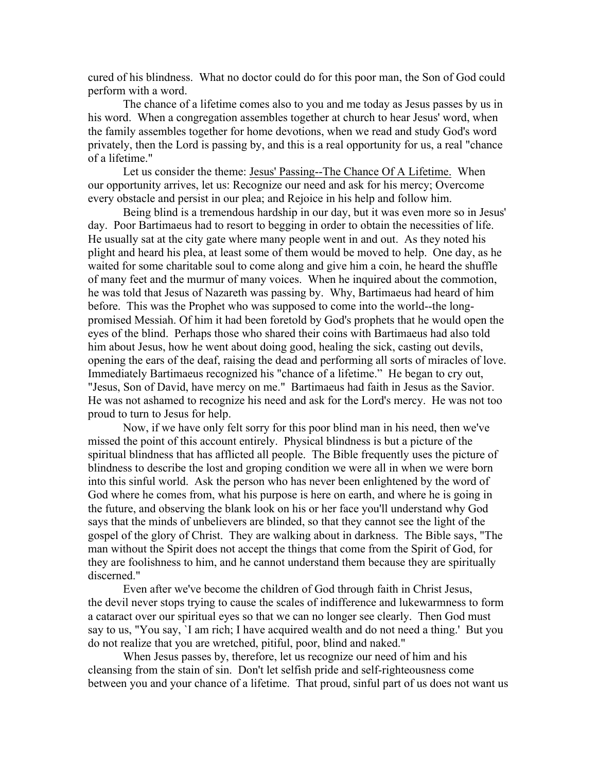cured of his blindness. What no doctor could do for this poor man, the Son of God could perform with a word.

The chance of a lifetime comes also to you and me today as Jesus passes by us in his word. When a congregation assembles together at church to hear Jesus' word, when the family assembles together for home devotions, when we read and study God's word privately, then the Lord is passing by, and this is a real opportunity for us, a real "chance of a lifetime."

Let us consider the theme: Jesus' Passing--The Chance Of A Lifetime. When our opportunity arrives, let us: Recognize our need and ask for his mercy; Overcome every obstacle and persist in our plea; and Rejoice in his help and follow him.

Being blind is a tremendous hardship in our day, but it was even more so in Jesus' day. Poor Bartimaeus had to resort to begging in order to obtain the necessities of life. He usually sat at the city gate where many people went in and out. As they noted his plight and heard his plea, at least some of them would be moved to help. One day, as he waited for some charitable soul to come along and give him a coin, he heard the shuffle of many feet and the murmur of many voices. When he inquired about the commotion, he was told that Jesus of Nazareth was passing by. Why, Bartimaeus had heard of him before. This was the Prophet who was supposed to come into the world--the longpromised Messiah. Of him it had been foretold by God's prophets that he would open the eyes of the blind. Perhaps those who shared their coins with Bartimaeus had also told him about Jesus, how he went about doing good, healing the sick, casting out devils, opening the ears of the deaf, raising the dead and performing all sorts of miracles of love. Immediately Bartimaeus recognized his "chance of a lifetime." He began to cry out, "Jesus, Son of David, have mercy on me." Bartimaeus had faith in Jesus as the Savior. He was not ashamed to recognize his need and ask for the Lord's mercy. He was not too proud to turn to Jesus for help.

Now, if we have only felt sorry for this poor blind man in his need, then we've missed the point of this account entirely. Physical blindness is but a picture of the spiritual blindness that has afflicted all people. The Bible frequently uses the picture of blindness to describe the lost and groping condition we were all in when we were born into this sinful world. Ask the person who has never been enlightened by the word of God where he comes from, what his purpose is here on earth, and where he is going in the future, and observing the blank look on his or her face you'll understand why God says that the minds of unbelievers are blinded, so that they cannot see the light of the gospel of the glory of Christ. They are walking about in darkness. The Bible says, "The man without the Spirit does not accept the things that come from the Spirit of God, for they are foolishness to him, and he cannot understand them because they are spiritually discerned."

Even after we've become the children of God through faith in Christ Jesus, the devil never stops trying to cause the scales of indifference and lukewarmness to form a cataract over our spiritual eyes so that we can no longer see clearly. Then God must say to us, "You say, `I am rich; I have acquired wealth and do not need a thing.' But you do not realize that you are wretched, pitiful, poor, blind and naked."

When Jesus passes by, therefore, let us recognize our need of him and his cleansing from the stain of sin. Don't let selfish pride and self-righteousness come between you and your chance of a lifetime. That proud, sinful part of us does not want us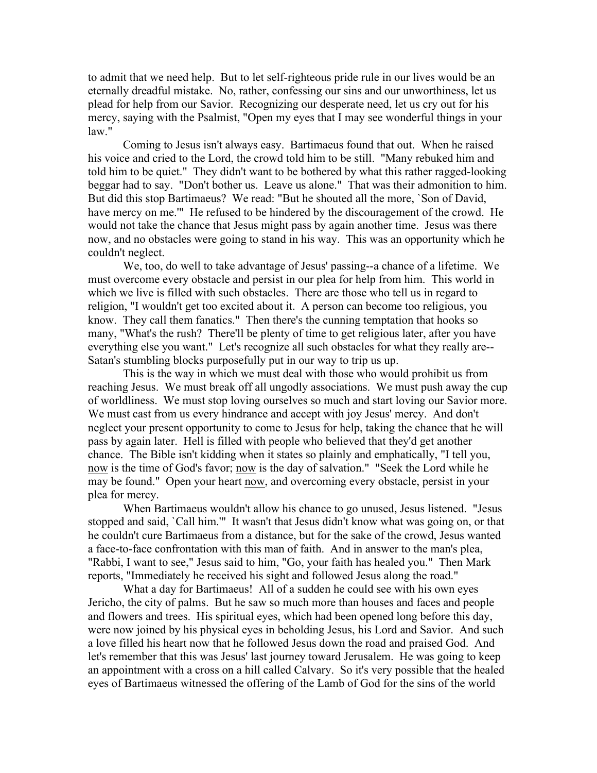to admit that we need help. But to let self-righteous pride rule in our lives would be an eternally dreadful mistake. No, rather, confessing our sins and our unworthiness, let us plead for help from our Savior. Recognizing our desperate need, let us cry out for his mercy, saying with the Psalmist, "Open my eyes that I may see wonderful things in your law."

Coming to Jesus isn't always easy. Bartimaeus found that out. When he raised his voice and cried to the Lord, the crowd told him to be still. "Many rebuked him and told him to be quiet." They didn't want to be bothered by what this rather ragged-looking beggar had to say. "Don't bother us. Leave us alone." That was their admonition to him. But did this stop Bartimaeus? We read: "But he shouted all the more, `Son of David, have mercy on me." He refused to be hindered by the discouragement of the crowd. He would not take the chance that Jesus might pass by again another time. Jesus was there now, and no obstacles were going to stand in his way. This was an opportunity which he couldn't neglect.

We, too, do well to take advantage of Jesus' passing--a chance of a lifetime. We must overcome every obstacle and persist in our plea for help from him. This world in which we live is filled with such obstacles. There are those who tell us in regard to religion, "I wouldn't get too excited about it. A person can become too religious, you know. They call them fanatics." Then there's the cunning temptation that hooks so many, "What's the rush? There'll be plenty of time to get religious later, after you have everything else you want." Let's recognize all such obstacles for what they really are-- Satan's stumbling blocks purposefully put in our way to trip us up.

This is the way in which we must deal with those who would prohibit us from reaching Jesus. We must break off all ungodly associations. We must push away the cup of worldliness. We must stop loving ourselves so much and start loving our Savior more. We must cast from us every hindrance and accept with joy Jesus' mercy. And don't neglect your present opportunity to come to Jesus for help, taking the chance that he will pass by again later. Hell is filled with people who believed that they'd get another chance. The Bible isn't kidding when it states so plainly and emphatically, "I tell you, now is the time of God's favor; now is the day of salvation." "Seek the Lord while he may be found." Open your heart now, and overcoming every obstacle, persist in your plea for mercy.

When Bartimaeus wouldn't allow his chance to go unused, Jesus listened. "Jesus stopped and said, `Call him.'" It wasn't that Jesus didn't know what was going on, or that he couldn't cure Bartimaeus from a distance, but for the sake of the crowd, Jesus wanted a face-to-face confrontation with this man of faith. And in answer to the man's plea, "Rabbi, I want to see," Jesus said to him, "Go, your faith has healed you." Then Mark reports, "Immediately he received his sight and followed Jesus along the road."

What a day for Bartimaeus! All of a sudden he could see with his own eyes Jericho, the city of palms. But he saw so much more than houses and faces and people and flowers and trees. His spiritual eyes, which had been opened long before this day, were now joined by his physical eyes in beholding Jesus, his Lord and Savior. And such a love filled his heart now that he followed Jesus down the road and praised God. And let's remember that this was Jesus' last journey toward Jerusalem. He was going to keep an appointment with a cross on a hill called Calvary. So it's very possible that the healed eyes of Bartimaeus witnessed the offering of the Lamb of God for the sins of the world